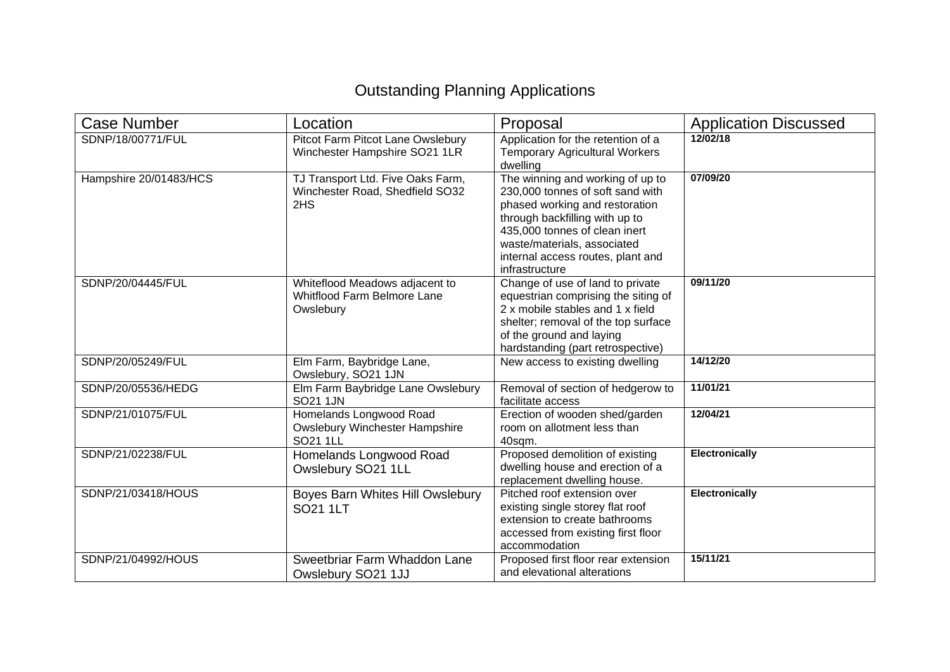## Outstanding Planning Applications

| Case Number            | Location                                                                          | Proposal                                                                                                                                                                                                                                                        | <b>Application Discussed</b> |
|------------------------|-----------------------------------------------------------------------------------|-----------------------------------------------------------------------------------------------------------------------------------------------------------------------------------------------------------------------------------------------------------------|------------------------------|
| SDNP/18/00771/FUL      | Pitcot Farm Pitcot Lane Owslebury<br>Winchester Hampshire SO21 1LR                | Application for the retention of a<br><b>Temporary Agricultural Workers</b><br>dwelling                                                                                                                                                                         | 12/02/18                     |
| Hampshire 20/01483/HCS | TJ Transport Ltd. Five Oaks Farm,<br>Winchester Road, Shedfield SO32<br>2HS       | The winning and working of up to<br>230,000 tonnes of soft sand with<br>phased working and restoration<br>through backfilling with up to<br>435,000 tonnes of clean inert<br>waste/materials, associated<br>internal access routes, plant and<br>infrastructure | 07/09/20                     |
| SDNP/20/04445/FUL      | Whiteflood Meadows adjacent to<br><b>Whitflood Farm Belmore Lane</b><br>Owslebury | Change of use of land to private<br>equestrian comprising the siting of<br>2 x mobile stables and 1 x field<br>shelter; removal of the top surface<br>of the ground and laying<br>hardstanding (part retrospective)                                             | 09/11/20                     |
| SDNP/20/05249/FUL      | Elm Farm, Baybridge Lane,<br>Owslebury, SO21 1JN                                  | New access to existing dwelling                                                                                                                                                                                                                                 | 14/12/20                     |
| SDNP/20/05536/HEDG     | Elm Farm Baybridge Lane Owslebury<br>SO21 1JN                                     | Removal of section of hedgerow to<br>facilitate access                                                                                                                                                                                                          | 11/01/21                     |
| SDNP/21/01075/FUL      | Homelands Longwood Road<br><b>Owslebury Winchester Hampshire</b><br>SO21 1LL      | Erection of wooden shed/garden<br>room on allotment less than<br>40sam.                                                                                                                                                                                         | 12/04/21                     |
| SDNP/21/02238/FUL      | Homelands Longwood Road<br>Owslebury SO21 1LL                                     | Proposed demolition of existing<br>dwelling house and erection of a<br>replacement dwelling house.                                                                                                                                                              | <b>Electronically</b>        |
| SDNP/21/03418/HOUS     | Boyes Barn Whites Hill Owslebury<br>SO21 1LT                                      | Pitched roof extension over<br>existing single storey flat roof<br>extension to create bathrooms<br>accessed from existing first floor<br>accommodation                                                                                                         | <b>Electronically</b>        |
| SDNP/21/04992/HOUS     | Sweetbriar Farm Whaddon Lane<br>Owslebury SO21 1JJ                                | Proposed first floor rear extension<br>and elevational alterations                                                                                                                                                                                              | 15/11/21                     |